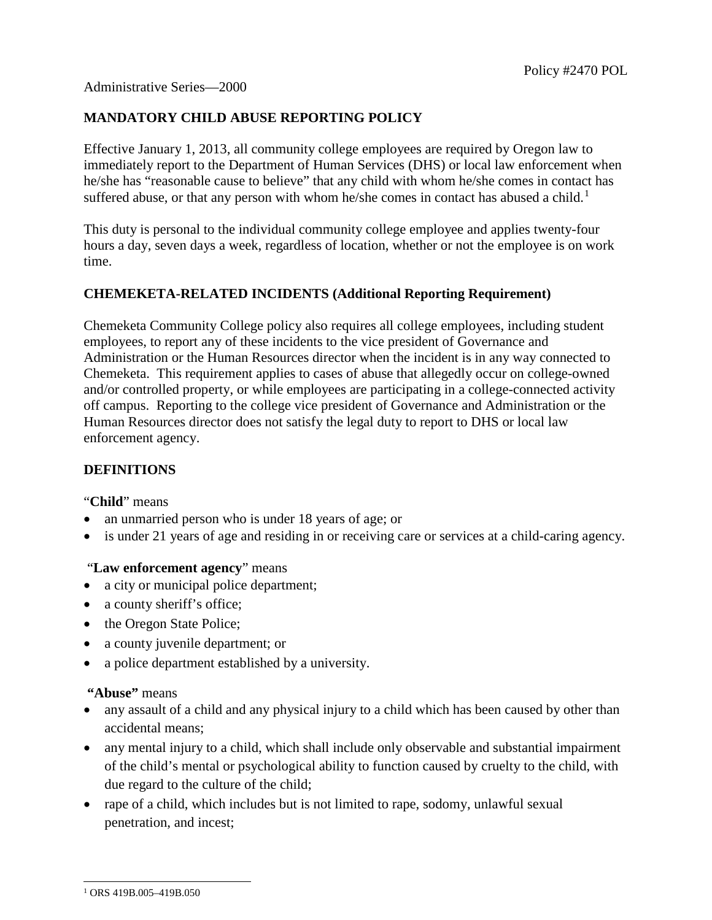# **MANDATORY CHILD ABUSE REPORTING POLICY**

Effective January 1, 2013, all community college employees are required by Oregon law to immediately report to the Department of Human Services (DHS) or local law enforcement when he/she has "reasonable cause to believe" that any child with whom he/she comes in contact has suffered abuse, or that any person with whom he/she comes in contact has abused a child.<sup>[1](#page-0-0)</sup>

This duty is personal to the individual community college employee and applies twenty-four hours a day, seven days a week, regardless of location, whether or not the employee is on work time.

### **CHEMEKETA-RELATED INCIDENTS (Additional Reporting Requirement)**

Chemeketa Community College policy also requires all college employees, including student employees, to report any of these incidents to the vice president of Governance and Administration or the Human Resources director when the incident is in any way connected to Chemeketa. This requirement applies to cases of abuse that allegedly occur on college-owned and/or controlled property, or while employees are participating in a college-connected activity off campus. Reporting to the college vice president of Governance and Administration or the Human Resources director does not satisfy the legal duty to report to DHS or local law enforcement agency.

#### **DEFINITIONS**

"**Child**" means

- an unmarried person who is under 18 years of age; or
- is under 21 years of age and residing in or receiving care or services at a child-caring agency.

#### "**Law enforcement agency**" means

- a city or municipal police department;
- a county sheriff's office;
- the Oregon State Police;
- a county juvenile department; or
- a police department established by a university.

# **"Abuse"** means

- any assault of a child and any physical injury to a child which has been caused by other than accidental means;
- any mental injury to a child, which shall include only observable and substantial impairment of the child's mental or psychological ability to function caused by cruelty to the child, with due regard to the culture of the child;
- rape of a child, which includes but is not limited to rape, sodomy, unlawful sexual penetration, and incest;

<span id="page-0-0"></span><sup>-</sup><sup>1</sup> ORS 419B.005–419B.050